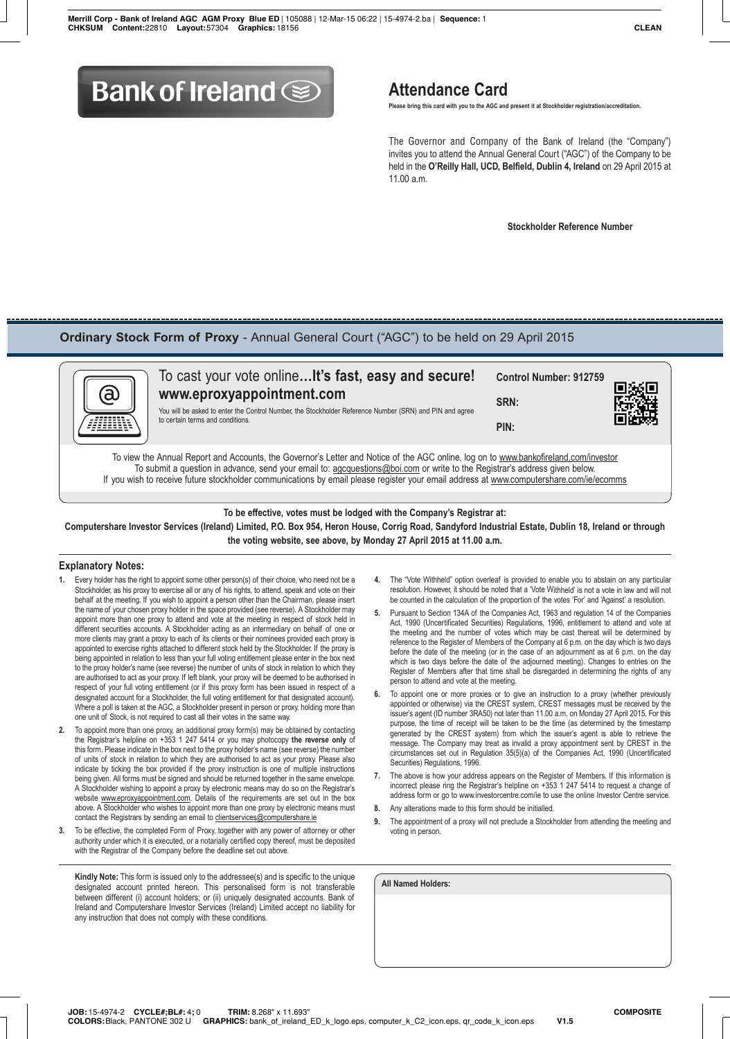# **Bank of Ireland South Attendance Card**

 **Please bring this card with you to the AGC and present it at Stockholder registration/accreditation.**

 The Governor and Company of the Bank of Ireland (the "Company") invites you to attend the Annual General Court ("AGC") of the Company to be held in the **O'Reilly Hall, UCD, Belfield, Dublin 4, Ireland** on 29 April 2015 at  $11.00 a m$ 

 **Stockholder Reference Number**

### **Ordinary Stock Form of Proxy** - Annual General Court ("AGC") to be held on 29 April 2015



| $\tilde{\mathbf{g}}$<br>m | To cast your vote online It's fast, easy and secure!<br>www.eproxyappointment.com<br>You will be asked to enter the Control Number, the Stockholder Reference Number (SRN) and PIN and agree<br>to certain terms and conditions.                                | <b>Control Number: 912759</b><br>SRN:<br>PIN: | 回派回<br>简杂球 |
|---------------------------|-----------------------------------------------------------------------------------------------------------------------------------------------------------------------------------------------------------------------------------------------------------------|-----------------------------------------------|------------|
|                           | To view the Annual Report and Accounts, the Governor's Letter and Notice of the AGC online, log on to www.bankofireland.com/investor<br>To colocity a model to advance a controller concentration of the construction of the Deutstands additional streets from |                                               |            |

To submit a question in advance, send your email to: <u>agcquestions@boi.com</u> or write to the Registrar's address given below. If you wish to receive future stockholder communications by email please register your email address at www.computershare.com/ie/ecomms

**To be effective, votes must be lodged with the Company's Registrar at: Computershare Investor Services (Ireland) Limited, P.O. Box 954, Heron House, Corrig Road, Sandyford Industrial Estate, Dublin 18, Ireland or through the voting website, see above, by Monday 27 April 2015 at 11.00 a.m.**

#### **Explanatory Notes:**

- **1.** Every holder has the right to appoint some other person(s) of their choice, who need not be a Stockholder, as his proxy to exercise all or any of his rights, to attend, speak and vote on their behalf at the meeting. If you wish to appoint a person other than the Chairman, please insert the name of your chosen proxy holder in the space provided (see reverse). A Stockholder may appoint more than one proxy to attend and vote at the meeting in respect of stock held in different securities accounts. A Stockholder acting as an intermediary on behalf of one or more clients may grant a proxy to each of its clients or their nominees provided each proxy is appointed to exercise rights attached to different stock held by the Stockholder. If the proxy is being appointed in relation to less than your full voting entitlement please enter in the box next to the proxy holder's name (see reverse) the number of units of stock in relation to which they are authorised to act as your proxy. If left blank, your proxy will be deemed to be authorised in respect of your full voting entitlement (or if this proxy form has been issued in respect of a designated account for a Stockholder, the full voting entitlement for that designated account). Where a poll is taken at the AGC, a Stockholder present in person or proxy, holding more than one unit of Stock, is not required to cast all their votes in the same way.
- **2.** To appoint more than one proxy, an additional proxy form(s) may be obtained by contacting the Registrar's helpline on +353 1 247 5414 or you may photocopy **the reverse only** of this form. Please indicate in the box next to the proxy holder's name (see reverse) the number of units of stock in relation to which they are authorised to act as your proxy. Please also indicate by ticking the box provided if the proxy instruction is one of multiple instructions being given. All forms must be signed and should be returned together in the same envelope. A Stockholder wishing to appoint a proxy by electronic means may do so on the Registrar's website www.eproxyappointment.com. Details of the requirements are set out in the box above. A Stockholder who wishes to appoint more than one proxy by electronic means must contact the Registrars by sending an email to clientservices@computershare.ie
- **3.** To be effective, the completed Form of Proxy, together with any power of attorney or other authority under which it is executed, or a notarially certified copy thereof, must be deposited with the Registrar of the Company before the deadline set out above.

**Kindly Note:** This form is issued only to the addressee(s) and is specific to the unique designated account printed hereon. This personalised form is not transferable between different (i) account holders; or (ii) uniquely designated accounts. Bank of Ireland and Computershare Investor Services (Ireland) Limited accept no liability for any instruction that does not comply with these conditions.

- **4.** The "Vote Withheld" option overleaf is provided to enable you to abstain on any particular resolution. However, it should be noted that a 'Vote Withheld' is not a vote in law and will not be counted in the calculation of the proportion of the votes 'For' and 'Against' a resolution.
- **5.** Pursuant to Section 134A of the Companies Act, 1963 and regulation 14 of the Companies Act, 1990 (Uncertificated Securities) Regulations, 1996, entitlement to attend and vote at the meeting and the number of votes which may be cast thereat will be determined by reference to the Register of Members of the Company at 6 p.m. on the day which is two days before the date of the meeting (or in the case of an adjournment as at 6 p.m. on the day which is two days before the date of the adjourned meeting). Changes to entries on the Register of Members after that time shall be disregarded in determining the rights of any person to attend and vote at the meeting.
- **6.** To appoint one or more proxies or to give an instruction to a proxy (whether previously appointed or otherwise) via the CREST system, CREST messages must be received by the issuer's agent (ID number 3RA50) not later than 11.00 a.m. on Monday 27 April 2015. For this purpose, the time of receipt will be taken to be the time (as determined by the timestamp generated by the CREST system) from which the issuer's agent is able to retrieve the message. The Company may treat as invalid a proxy appointment sent by CREST in the circumstances set out in Regulation 35(5)(a) of the Companies Act, 1990 (Uncertificated Securities) Regulations, 1996.
- **7.** The above is how your address appears on the Register of Members. If this information is incorrect please ring the Registrar's helpline on +353 1 247 5414 to request a change of address form or go to www.investorcentre.com/ie to use the online Investor Centre service.
- **8.** Any alterations made to this form should be initialled.
- **9.** The appointment of a proxy will not preclude a Stockholder from attending the meeting and voting in person.

**All Named Holders:**